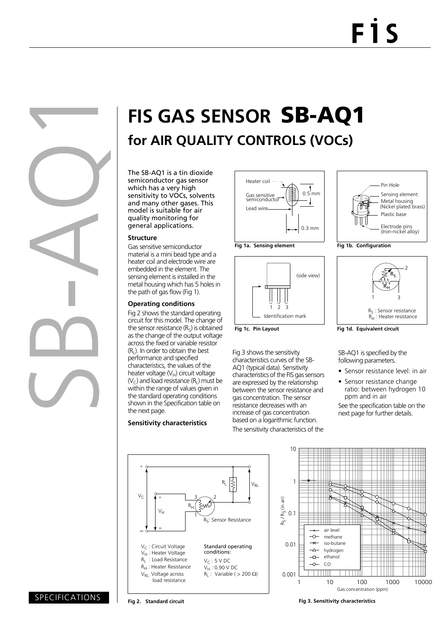# **FIS GAS SENSOR** SB-AQ1 **for AIR QUALITY CONTROLS (VOCs)**

The SB-AQ1 is a tin dioxide semiconductor gas sensor which has a very high sensitivity to VOCs, solvents and many other gases. This model is suitable for air quality monitoring for general applications.

#### **Structure**

Gas sensitive semiconductor material is a mini bead type and a heater coil and electrode wire are embedded in the element. The sensing element is installed in the metal housing which has 5 holes in the path of gas flow (Fig 1).

#### **Operating conditions**

Fig 2 shows the standard operating circuit for this model. The change of the sensor resistance  $(R<sub>s</sub>)$  is obtained as the change of the output voltage across the fixed or variable resistor  $(R<sub>1</sub>)$ . In order to obtain the best performance and specified characteristics, the values of the heater voltage  $(V_H)$  circuit voltage  $(V<sub>C</sub>)$  and load resistance  $(R<sub>L</sub>)$  must be within the range of values given in the standard operating conditions shown in the Specification table on the next page.

#### **Sensitivity characteristics**







**Fig 1c. Pin Layout**

Fig 3 shows the sensitivity characteristics curves of the SB-AQ1 (typical data). Sensitivity characteristics of the FIS gas sensors are expressed by the relationship between the sensor resistance and gas concentration. The sensor resistance decreases with an increase of gas concentration based on a logarithmic function. The sensitivity characteristics of the



**Fig 1b. Configuration**



**Fig 1d. Equivalent circuit**

SB-AQ1 is specified by the following parameters.

- Sensor resistance level: in air
- Sensor resistance change ratio: between hydrogen 10 ppm and in air

See the specification table on the next page for further details.





### SPECIFICATIONS